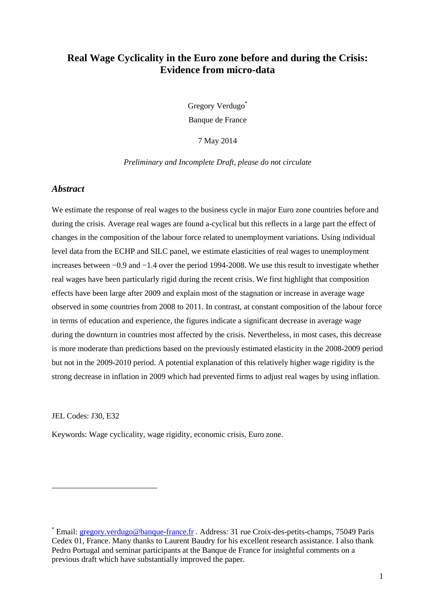# **Real Wage Cyclicality in the Euro zone before and during the Crisis: Evidence from micro-data**

Gregory Verdugo\* Banque de France

7 May 2014

#### *Preliminary and Incomplete Draft, please do not circulate*

### *Abstract*

We estimate the response of real wages to the business cycle in major Euro zone countries before and during the crisis. Average real wages are found a-cyclical but this reflects in a large part the effect of changes in the composition of the labour force related to unemployment variations. Using individual level data from the ECHP and SILC panel, we estimate elasticities of real wages to unemployment increases between −0.9 and −1.4 over the period 1994-2008. We use this result to investigate whether real wages have been particularly rigid during the recent crisis. We first highlight that composition effects have been large after 2009 and explain most of the stagnation or increase in average wage observed in some countries from 2008 to 2011. In contrast, at constant composition of the labour force in terms of education and experience, the figures indicate a significant decrease in average wage during the downturn in countries most affected by the crisis. Nevertheless, in most cases, this decrease is more moderate than predictions based on the previously estimated elasticity in the 2008-2009 period but not in the 2009-2010 period. A potential explanation of this relatively higher wage rigidity is the strong decrease in inflation in 2009 which had prevented firms to adjust real wages by using inflation.

JEL Codes: J30, E32

 $\overline{a}$ 

Keywords: Wage cyclicality, wage rigidity, economic crisis, Euro zone.

<sup>\*</sup> Email: **gregory.verdugo@banque-france.fr** . Address: 31 rue Croix-des-petits-champs, 75049 Paris Cedex 01, France. Many thanks to Laurent Baudry for his excellent research assistance. I also thank Pedro Portugal and seminar participants at the Banque de France for insightful comments on a previous draft which have substantially improved the paper.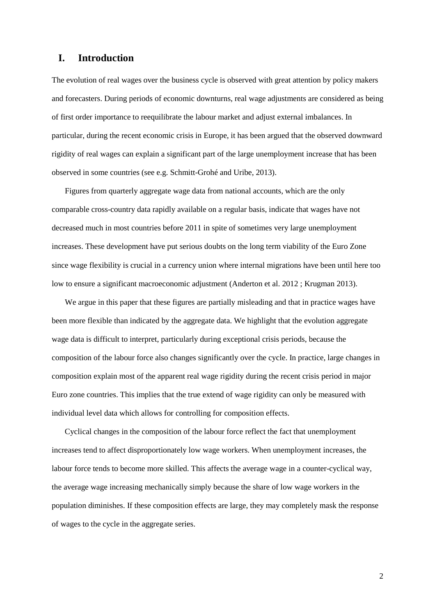# **I. Introduction**

The evolution of real wages over the business cycle is observed with great attention by policy makers and forecasters. During periods of economic downturns, real wage adjustments are considered as being of first order importance to reequilibrate the labour market and adjust external imbalances. In particular, during the recent economic crisis in Europe, it has been argued that the observed downward rigidity of real wages can explain a significant part of the large unemployment increase that has been observed in some countries (see e.g. Schmitt-Grohé and Uribe, 2013).

Figures from quarterly aggregate wage data from national accounts, which are the only comparable cross-country data rapidly available on a regular basis, indicate that wages have not decreased much in most countries before 2011 in spite of sometimes very large unemployment increases. These development have put serious doubts on the long term viability of the Euro Zone since wage flexibility is crucial in a currency union where internal migrations have been until here too low to ensure a significant macroeconomic adjustment (Anderton et al. 2012 ; Krugman 2013).

We argue in this paper that these figures are partially misleading and that in practice wages have been more flexible than indicated by the aggregate data. We highlight that the evolution aggregate wage data is difficult to interpret, particularly during exceptional crisis periods, because the composition of the labour force also changes significantly over the cycle. In practice, large changes in composition explain most of the apparent real wage rigidity during the recent crisis period in major Euro zone countries. This implies that the true extend of wage rigidity can only be measured with individual level data which allows for controlling for composition effects.

Cyclical changes in the composition of the labour force reflect the fact that unemployment increases tend to affect disproportionately low wage workers. When unemployment increases, the labour force tends to become more skilled. This affects the average wage in a counter-cyclical way, the average wage increasing mechanically simply because the share of low wage workers in the population diminishes. If these composition effects are large, they may completely mask the response of wages to the cycle in the aggregate series.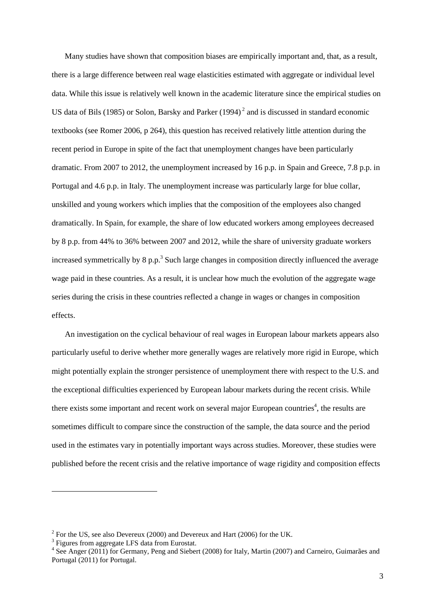Many studies have shown that composition biases are empirically important and, that, as a result, there is a large difference between real wage elasticities estimated with aggregate or individual level data. While this issue is relatively well known in the academic literature since the empirical studies on US data of Bils (1985) or Solon, Barsky and Parker (1994)<sup>2</sup> and is discussed in standard economic textbooks (see Romer 2006, p 264), this question has received relatively little attention during the recent period in Europe in spite of the fact that unemployment changes have been particularly dramatic. From 2007 to 2012, the unemployment increased by 16 p.p. in Spain and Greece, 7.8 p.p. in Portugal and 4.6 p.p. in Italy. The unemployment increase was particularly large for blue collar, unskilled and young workers which implies that the composition of the employees also changed dramatically. In Spain, for example, the share of low educated workers among employees decreased by 8 p.p. from 44% to 36% between 2007 and 2012, while the share of university graduate workers increased symmetrically by  $8 \text{ p.p.}^3$  Such large changes in composition directly influenced the average wage paid in these countries. As a result, it is unclear how much the evolution of the aggregate wage series during the crisis in these countries reflected a change in wages or changes in composition effects.

An investigation on the cyclical behaviour of real wages in European labour markets appears also particularly useful to derive whether more generally wages are relatively more rigid in Europe, which might potentially explain the stronger persistence of unemployment there with respect to the U.S. and the exceptional difficulties experienced by European labour markets during the recent crisis. While there exists some important and recent work on several major European countries<sup>4</sup>, the results are sometimes difficult to compare since the construction of the sample, the data source and the period used in the estimates vary in potentially important ways across studies. Moreover, these studies were published before the recent crisis and the relative importance of wage rigidity and composition effects

<sup>&</sup>lt;sup>2</sup> For the US, see also Devereux (2000) and Devereux and Hart (2006) for the UK.

<sup>&</sup>lt;sup>3</sup> Figures from aggregate LFS data from Eurostat.

<sup>&</sup>lt;sup>4</sup> See Anger (2011) for Germany, Peng and Siebert (2008) for Italy, Martin (2007) and Carneiro, Guimarães and Portugal (2011) for Portugal.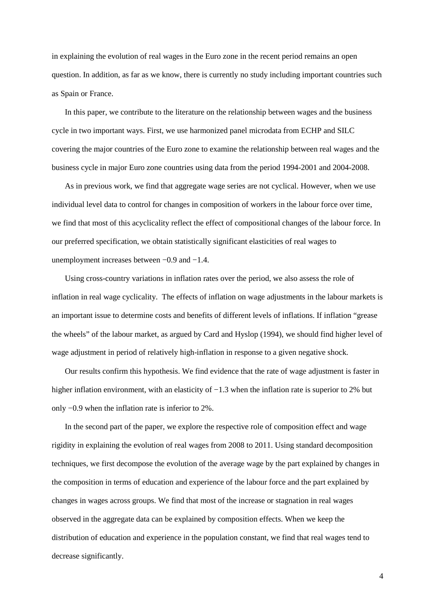in explaining the evolution of real wages in the Euro zone in the recent period remains an open question. In addition, as far as we know, there is currently no study including important countries such as Spain or France.

In this paper, we contribute to the literature on the relationship between wages and the business cycle in two important ways. First, we use harmonized panel microdata from ECHP and SILC covering the major countries of the Euro zone to examine the relationship between real wages and the business cycle in major Euro zone countries using data from the period 1994-2001 and 2004-2008.

As in previous work, we find that aggregate wage series are not cyclical. However, when we use individual level data to control for changes in composition of workers in the labour force over time, we find that most of this acyclicality reflect the effect of compositional changes of the labour force. In our preferred specification, we obtain statistically significant elasticities of real wages to unemployment increases between −0.9 and −1.4.

Using cross-country variations in inflation rates over the period, we also assess the role of inflation in real wage cyclicality. The effects of inflation on wage adjustments in the labour markets is an important issue to determine costs and benefits of different levels of inflations. If inflation "grease the wheels" of the labour market, as argued by Card and Hyslop (1994), we should find higher level of wage adjustment in period of relatively high-inflation in response to a given negative shock.

Our results confirm this hypothesis. We find evidence that the rate of wage adjustment is faster in higher inflation environment, with an elasticity of −1.3 when the inflation rate is superior to 2% but only −0.9 when the inflation rate is inferior to 2%.

In the second part of the paper, we explore the respective role of composition effect and wage rigidity in explaining the evolution of real wages from 2008 to 2011. Using standard decomposition techniques, we first decompose the evolution of the average wage by the part explained by changes in the composition in terms of education and experience of the labour force and the part explained by changes in wages across groups. We find that most of the increase or stagnation in real wages observed in the aggregate data can be explained by composition effects. When we keep the distribution of education and experience in the population constant, we find that real wages tend to decrease significantly.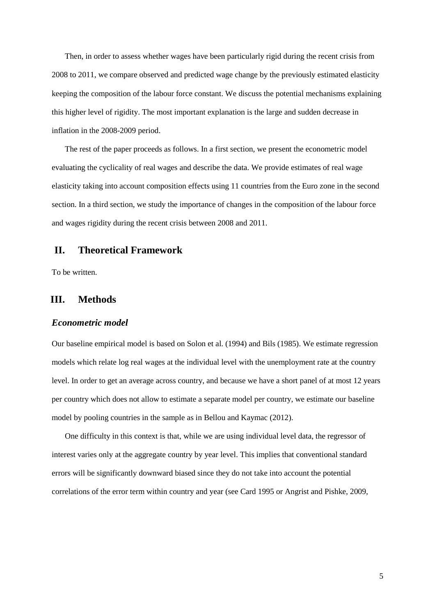Then, in order to assess whether wages have been particularly rigid during the recent crisis from 2008 to 2011, we compare observed and predicted wage change by the previously estimated elasticity keeping the composition of the labour force constant. We discuss the potential mechanisms explaining this higher level of rigidity. The most important explanation is the large and sudden decrease in inflation in the 2008-2009 period.

The rest of the paper proceeds as follows. In a first section, we present the econometric model evaluating the cyclicality of real wages and describe the data. We provide estimates of real wage elasticity taking into account composition effects using 11 countries from the Euro zone in the second section. In a third section, we study the importance of changes in the composition of the labour force and wages rigidity during the recent crisis between 2008 and 2011.

### **II. Theoretical Framework**

To be written.

# **III. Methods**

#### *Econometric model*

Our baseline empirical model is based on Solon et al. (1994) and Bils (1985). We estimate regression models which relate log real wages at the individual level with the unemployment rate at the country level. In order to get an average across country, and because we have a short panel of at most 12 years per country which does not allow to estimate a separate model per country, we estimate our baseline model by pooling countries in the sample as in Bellou and Kaymac (2012).

One difficulty in this context is that, while we are using individual level data, the regressor of interest varies only at the aggregate country by year level. This implies that conventional standard errors will be significantly downward biased since they do not take into account the potential correlations of the error term within country and year (see Card 1995 or Angrist and Pishke, 2009,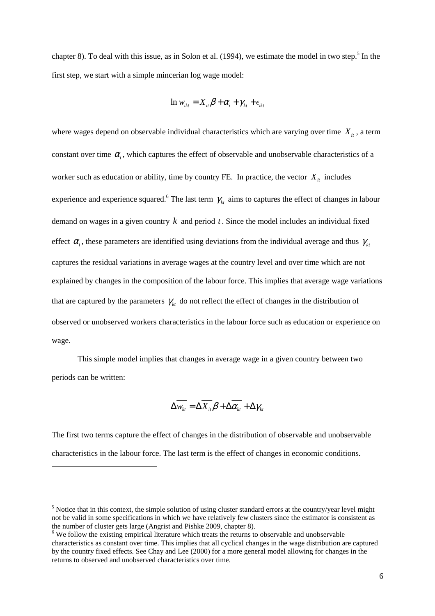chapter 8). To deal with this issue, as in Solon et al.  $(1994)$ , we estimate the model in two step.<sup>5</sup> In the first step, we start with a simple mincerian log wage model:

$$
\ln w_{ikt} = X_{it} \beta + \alpha_i + \gamma_{kt} + \epsilon_{ikt}
$$

where wages depend on observable individual characteristics which are varying over time  $X_{it}$ , a term constant over time  $\alpha$ <sub>i</sub>, which captures the effect of observable and unobservable characteristics of a worker such as education or ability, time by country FE. In practice, the vector  $X_i$  includes experience and experience squared.<sup>6</sup> The last term  $\gamma_{kt}$  aims to captures the effect of changes in labour demand on wages in a given country  $k$  and period  $t$ . Since the model includes an individual fixed effect  $\alpha_i$ , these parameters are identified using deviations from the individual average and thus  $\gamma_{kt}$ captures the residual variations in average wages at the country level and over time which are not explained by changes in the composition of the labour force. This implies that average wage variations that are captured by the parameters  $\gamma_k$  do not reflect the effect of changes in the distribution of observed or unobserved workers characteristics in the labour force such as education or experience on wage.

This simple model implies that changes in average wage in a given country between two periods can be written:

$$
\Delta \overline{W_{kt}} = \Delta \overline{X_{it}} \beta + \Delta \overline{\alpha_{kt}} + \Delta \gamma_{kt}
$$

The first two terms capture the effect of changes in the distribution of observable and unobservable characteristics in the labour force. The last term is the effect of changes in economic conditions.

 $<sup>5</sup>$  Notice that in this context, the simple solution of using cluster standard errors at the country/year level might</sup> not be valid in some specifications in which we have relatively few clusters since the estimator is consistent as the number of cluster gets large (Angrist and Pishke 2009, chapter 8).

<sup>&</sup>lt;sup>6</sup> We follow the existing empirical literature which treats the returns to observable and unobservable characteristics as constant over time. This implies that all cyclical changes in the wage distribution are captured by the country fixed effects. See Chay and Lee (2000) for a more general model allowing for changes in the returns to observed and unobserved characteristics over time.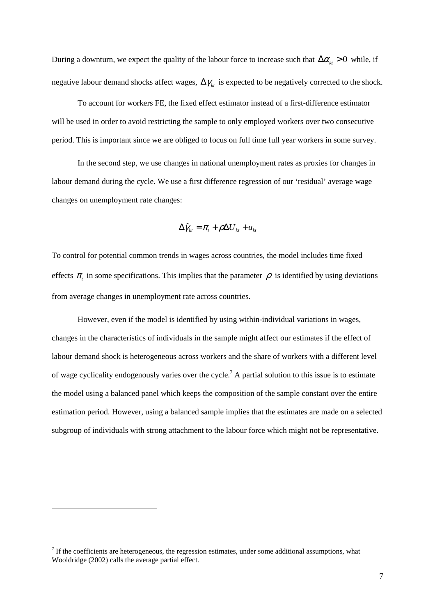During a downturn, we expect the quality of the labour force to increase such that  $\Delta \overline{\alpha_{k}} > 0$  while, if negative labour demand shocks affect wages,  $\Delta \gamma_{kt}$  is expected to be negatively corrected to the shock.

To account for workers FE, the fixed effect estimator instead of a first-difference estimator will be used in order to avoid restricting the sample to only employed workers over two consecutive period. This is important since we are obliged to focus on full time full year workers in some survey.

In the second step, we use changes in national unemployment rates as proxies for changes in labour demand during the cycle. We use a first difference regression of our 'residual' average wage changes on unemployment rate changes:

$$
\Delta \hat{\gamma}_{kt} = \pi_t + \rho \Delta U_{kt} + u_{kt}
$$

To control for potential common trends in wages across countries, the model includes time fixed effects  $\pi$ <sub>t</sub> in some specifications. This implies that the parameter  $\rho$  is identified by using deviations from average changes in unemployment rate across countries.

However, even if the model is identified by using within-individual variations in wages, changes in the characteristics of individuals in the sample might affect our estimates if the effect of labour demand shock is heterogeneous across workers and the share of workers with a different level of wage cyclicality endogenously varies over the cycle.<sup>7</sup> A partial solution to this issue is to estimate the model using a balanced panel which keeps the composition of the sample constant over the entire estimation period. However, using a balanced sample implies that the estimates are made on a selected subgroup of individuals with strong attachment to the labour force which might not be representative.

 $<sup>7</sup>$  If the coefficients are heterogeneous, the regression estimates, under some additional assumptions, what</sup> Wooldridge (2002) calls the average partial effect.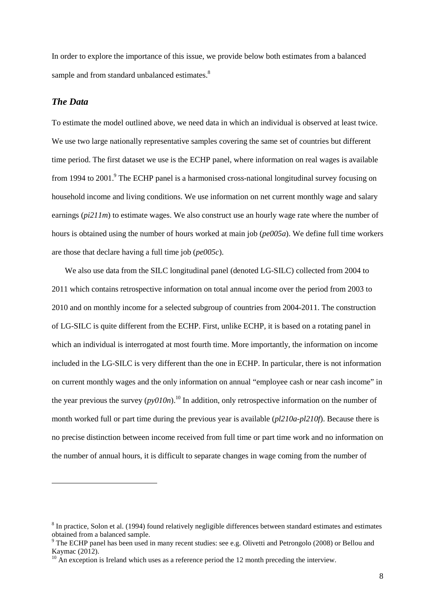In order to explore the importance of this issue, we provide below both estimates from a balanced sample and from standard unbalanced estimates.<sup>8</sup>

## *The Data*

 $\overline{a}$ 

To estimate the model outlined above, we need data in which an individual is observed at least twice. We use two large nationally representative samples covering the same set of countries but different time period. The first dataset we use is the ECHP panel, where information on real wages is available from 1994 to 2001.<sup>9</sup> The ECHP panel is a harmonised cross-national longitudinal survey focusing on household income and living conditions. We use information on net current monthly wage and salary earnings (*pi211m*) to estimate wages. We also construct use an hourly wage rate where the number of hours is obtained using the number of hours worked at main job (*pe005a*). We define full time workers are those that declare having a full time job (*pe005c*).

We also use data from the SILC longitudinal panel (denoted LG-SILC) collected from 2004 to 2011 which contains retrospective information on total annual income over the period from 2003 to 2010 and on monthly income for a selected subgroup of countries from 2004-2011. The construction of LG-SILC is quite different from the ECHP. First, unlike ECHP, it is based on a rotating panel in which an individual is interrogated at most fourth time. More importantly, the information on income included in the LG-SILC is very different than the one in ECHP. In particular, there is not information on current monthly wages and the only information on annual "employee cash or near cash income" in the year previous the survey  $(py010n)$ .<sup>10</sup> In addition, only retrospective information on the number of month worked full or part time during the previous year is available (*pl210a-pl210f*). Because there is no precise distinction between income received from full time or part time work and no information on the number of annual hours, it is difficult to separate changes in wage coming from the number of

<sup>&</sup>lt;sup>8</sup> In practice, Solon et al. (1994) found relatively negligible differences between standard estimates and estimates obtained from a balanced sample.

<sup>&</sup>lt;sup>9</sup> The ECHP panel has been used in many recent studies: see e.g. Olivetti and Petrongolo (2008) or Bellou and Kaymac (2012).

 $10$  An exception is Ireland which uses as a reference period the 12 month preceding the interview.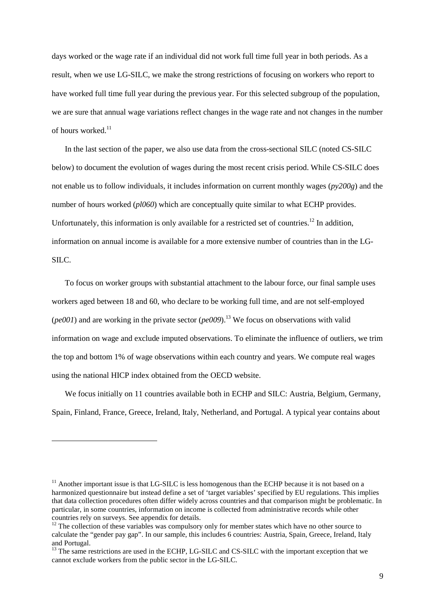days worked or the wage rate if an individual did not work full time full year in both periods. As a result, when we use LG-SILC, we make the strong restrictions of focusing on workers who report to have worked full time full year during the previous year. For this selected subgroup of the population, we are sure that annual wage variations reflect changes in the wage rate and not changes in the number of hours worked $11$ 

In the last section of the paper, we also use data from the cross-sectional SILC (noted CS-SILC below) to document the evolution of wages during the most recent crisis period. While CS-SILC does not enable us to follow individuals, it includes information on current monthly wages (*py200g*) and the number of hours worked (*pl060*) which are conceptually quite similar to what ECHP provides. Unfortunately, this information is only available for a restricted set of countries.<sup>12</sup> In addition, information on annual income is available for a more extensive number of countries than in the LG-SILC.

To focus on worker groups with substantial attachment to the labour force, our final sample uses workers aged between 18 and 60, who declare to be working full time, and are not self-employed (*pe001*) and are working in the private sector (*pe009*).<sup>13</sup> We focus on observations with valid information on wage and exclude imputed observations. To eliminate the influence of outliers, we trim the top and bottom 1% of wage observations within each country and years. We compute real wages using the national HICP index obtained from the OECD website.

We focus initially on 11 countries available both in ECHP and SILC: Austria, Belgium, Germany, Spain, Finland, France, Greece, Ireland, Italy, Netherland, and Portugal. A typical year contains about

 $11$  Another important issue is that LG-SILC is less homogenous than the ECHP because it is not based on a harmonized questionnaire but instead define a set of 'target variables' specified by EU regulations. This implies that data collection procedures often differ widely across countries and that comparison might be problematic. In particular, in some countries, information on income is collected from administrative records while other countries rely on surveys. See appendix for details.

 $12$  The collection of these variables was compulsory only for member states which have no other source to calculate the "gender pay gap". In our sample, this includes 6 countries: Austria, Spain, Greece, Ireland, Italy and Portugal.

<sup>&</sup>lt;sup>13</sup> The same restrictions are used in the ECHP, LG-SILC and CS-SILC with the important exception that we cannot exclude workers from the public sector in the LG-SILC.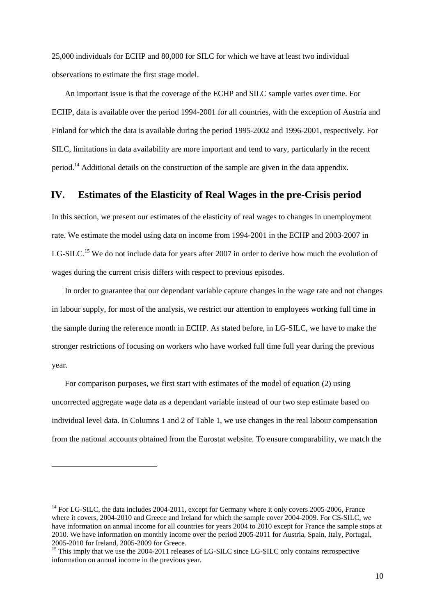25,000 individuals for ECHP and 80,000 for SILC for which we have at least two individual observations to estimate the first stage model.

An important issue is that the coverage of the ECHP and SILC sample varies over time. For ECHP, data is available over the period 1994-2001 for all countries, with the exception of Austria and Finland for which the data is available during the period 1995-2002 and 1996-2001, respectively. For SILC, limitations in data availability are more important and tend to vary, particularly in the recent period.<sup>14</sup> Additional details on the construction of the sample are given in the data appendix.

## **IV. Estimates of the Elasticity of Real Wages in the pre-Crisis period**

In this section, we present our estimates of the elasticity of real wages to changes in unemployment rate. We estimate the model using data on income from 1994-2001 in the ECHP and 2003-2007 in LG-SILC.<sup>15</sup> We do not include data for years after 2007 in order to derive how much the evolution of wages during the current crisis differs with respect to previous episodes.

In order to guarantee that our dependant variable capture changes in the wage rate and not changes in labour supply, for most of the analysis, we restrict our attention to employees working full time in the sample during the reference month in ECHP. As stated before, in LG-SILC, we have to make the stronger restrictions of focusing on workers who have worked full time full year during the previous year.

For comparison purposes, we first start with estimates of the model of equation (2) using uncorrected aggregate wage data as a dependant variable instead of our two step estimate based on individual level data. In Columns 1 and 2 of Table 1, we use changes in the real labour compensation from the national accounts obtained from the Eurostat website. To ensure comparability, we match the

<sup>&</sup>lt;sup>14</sup> For LG-SILC, the data includes 2004-2011, except for Germany where it only covers 2005-2006. France where it covers, 2004-2010 and Greece and Ireland for which the sample cover 2004-2009. For CS-SILC, we have information on annual income for all countries for years 2004 to 2010 except for France the sample stops at 2010. We have information on monthly income over the period 2005-2011 for Austria, Spain, Italy, Portugal, 2005-2010 for Ireland, 2005-2009 for Greece.

<sup>&</sup>lt;sup>15</sup> This imply that we use the 2004-2011 releases of LG-SILC since LG-SILC only contains retrospective information on annual income in the previous year.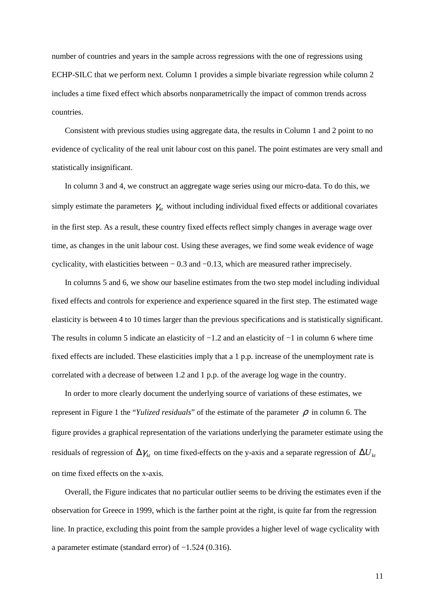number of countries and years in the sample across regressions with the one of regressions using ECHP-SILC that we perform next. Column 1 provides a simple bivariate regression while column 2 includes a time fixed effect which absorbs nonparametrically the impact of common trends across countries.

Consistent with previous studies using aggregate data, the results in Column 1 and 2 point to no evidence of cyclicality of the real unit labour cost on this panel. The point estimates are very small and statistically insignificant.

In column 3 and 4, we construct an aggregate wage series using our micro-data. To do this, we simply estimate the parameters  $\gamma_{kt}$  without including individual fixed effects or additional covariates in the first step. As a result, these country fixed effects reflect simply changes in average wage over time, as changes in the unit labour cost. Using these averages, we find some weak evidence of wage cyclicality, with elasticities between − 0.3 and −0.13, which are measured rather imprecisely.

In columns 5 and 6, we show our baseline estimates from the two step model including individual fixed effects and controls for experience and experience squared in the first step. The estimated wage elasticity is between 4 to 10 times larger than the previous specifications and is statistically significant. The results in column 5 indicate an elasticity of −1.2 and an elasticity of −1 in column 6 where time fixed effects are included. These elasticities imply that a 1 p.p. increase of the unemployment rate is correlated with a decrease of between 1.2 and 1 p.p. of the average log wage in the country.

In order to more clearly document the underlying source of variations of these estimates, we represent in Figure 1 the "*Yulized residuals*" of the estimate of the parameter  $\rho$  in column 6. The figure provides a graphical representation of the variations underlying the parameter estimate using the residuals of regression of  $\Delta \gamma_k$  on time fixed-effects on the y-axis and a separate regression of  $\Delta U_k$ on time fixed effects on the x-axis.

Overall, the Figure indicates that no particular outlier seems to be driving the estimates even if the observation for Greece in 1999, which is the farther point at the right, is quite far from the regression line. In practice, excluding this point from the sample provides a higher level of wage cyclicality with a parameter estimate (standard error) of −1.524 (0.316).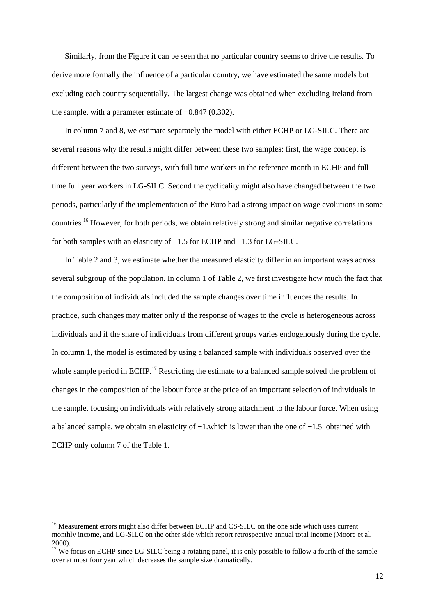Similarly, from the Figure it can be seen that no particular country seems to drive the results. To derive more formally the influence of a particular country, we have estimated the same models but excluding each country sequentially. The largest change was obtained when excluding Ireland from the sample, with a parameter estimate of −0.847 (0.302).

In column 7 and 8, we estimate separately the model with either ECHP or LG-SILC. There are several reasons why the results might differ between these two samples: first, the wage concept is different between the two surveys, with full time workers in the reference month in ECHP and full time full year workers in LG-SILC. Second the cyclicality might also have changed between the two periods, particularly if the implementation of the Euro had a strong impact on wage evolutions in some countries.<sup>16</sup> However, for both periods, we obtain relatively strong and similar negative correlations for both samples with an elasticity of −1.5 for ECHP and −1.3 for LG-SILC.

In Table 2 and 3, we estimate whether the measured elasticity differ in an important ways across several subgroup of the population. In column 1 of Table 2, we first investigate how much the fact that the composition of individuals included the sample changes over time influences the results. In practice, such changes may matter only if the response of wages to the cycle is heterogeneous across individuals and if the share of individuals from different groups varies endogenously during the cycle. In column 1, the model is estimated by using a balanced sample with individuals observed over the whole sample period in ECHP.<sup>17</sup> Restricting the estimate to a balanced sample solved the problem of changes in the composition of the labour force at the price of an important selection of individuals in the sample, focusing on individuals with relatively strong attachment to the labour force. When using a balanced sample, we obtain an elasticity of −1.which is lower than the one of −1.5 obtained with ECHP only column 7 of the Table 1.

<sup>&</sup>lt;sup>16</sup> Measurement errors might also differ between ECHP and CS-SILC on the one side which uses current monthly income, and LG-SILC on the other side which report retrospective annual total income (Moore et al. 2000).

<sup>&</sup>lt;sup>17</sup> We focus on ECHP since LG-SILC being a rotating panel, it is only possible to follow a fourth of the sample over at most four year which decreases the sample size dramatically.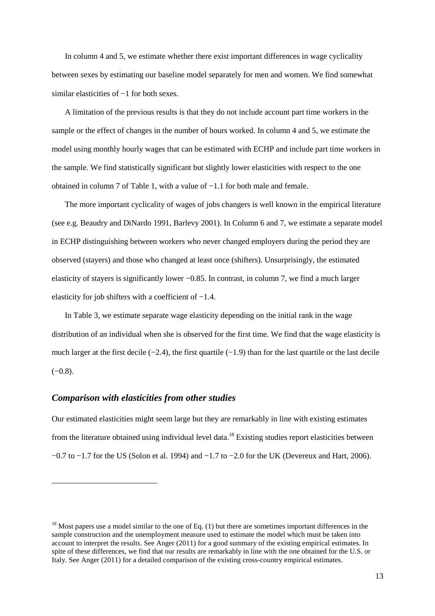In column 4 and 5, we estimate whether there exist important differences in wage cyclicality between sexes by estimating our baseline model separately for men and women. We find somewhat similar elasticities of −1 for both sexes.

A limitation of the previous results is that they do not include account part time workers in the sample or the effect of changes in the number of hours worked. In column 4 and 5, we estimate the model using monthly hourly wages that can be estimated with ECHP and include part time workers in the sample. We find statistically significant but slightly lower elasticities with respect to the one obtained in column 7 of Table 1, with a value of −1.1 for both male and female.

The more important cyclicality of wages of jobs changers is well known in the empirical literature (see e.g. Beaudry and DiNardo 1991, Barlevy 2001). In Column 6 and 7, we estimate a separate model in ECHP distinguishing between workers who never changed employers during the period they are observed (stayers) and those who changed at least once (shifters). Unsurprisingly, the estimated elasticity of stayers is significantly lower −0.85. In contrast, in column 7, we find a much larger elasticity for job shifters with a coefficient of −1.4.

In Table 3, we estimate separate wage elasticity depending on the initial rank in the wage distribution of an individual when she is observed for the first time. We find that the wage elasticity is much larger at the first decile  $(-2.4)$ , the first quartile  $(-1.9)$  than for the last quartile or the last decile  $(-0.8)$ .

#### *Comparison with elasticities from other studies*

 $\overline{a}$ 

Our estimated elasticities might seem large but they are remarkably in line with existing estimates from the literature obtained using individual level data.<sup>18</sup> Existing studies report elasticities between −0.7 to −1.7 for the US (Solon et al. 1994) and −1.7 to −2.0 for the UK (Devereux and Hart, 2006).

 $18$  Most papers use a model similar to the one of Eq. (1) but there are sometimes important differences in the sample construction and the unemployment measure used to estimate the model which must be taken into account to interpret the results. See Anger (2011) for a good summary of the existing empirical estimates. In spite of these differences, we find that our results are remarkably in line with the one obtained for the U.S. or Italy. See Anger (2011) for a detailed comparison of the existing cross-country empirical estimates.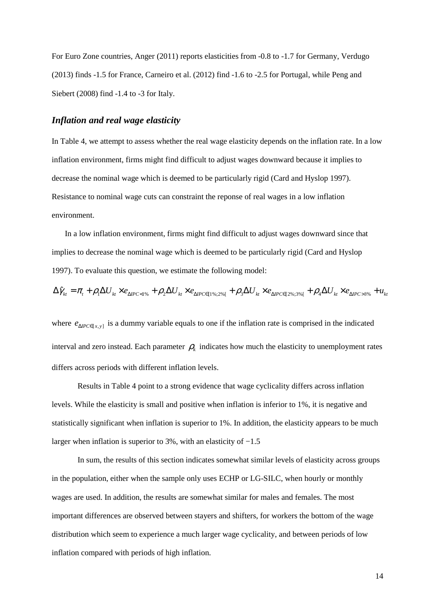For Euro Zone countries, Anger (2011) reports elasticities from -0.8 to -1.7 for Germany, Verdugo (2013) finds -1.5 for France, Carneiro et al. (2012) find -1.6 to -2.5 for Portugal, while Peng and Siebert (2008) find -1.4 to -3 for Italy.

### *Inflation and real wage elasticity*

In Table 4, we attempt to assess whether the real wage elasticity depends on the inflation rate. In a low inflation environment, firms might find difficult to adjust wages downward because it implies to decrease the nominal wage which is deemed to be particularly rigid (Card and Hyslop 1997). Resistance to nominal wage cuts can constraint the reponse of real wages in a low inflation environment.

In a low inflation environment, firms might find difficult to adjust wages downward since that implies to decrease the nominal wage which is deemed to be particularly rigid (Card and Hyslop 1997). To evaluate this question, we estimate the following model:

$$
\Delta\hat{\gamma}_{kt} = \pi_t + \rho_1 \Delta U_{kt} \times e_{\Delta IPC < 1\%} + \rho_2 \Delta U_{kt} \times e_{\Delta IPC \in [1\%;2\%]} + \rho_3 \Delta U_{kt} \times e_{\Delta IPC \in [2\%;3\%]} + \rho_4 \Delta U_{kt} \times e_{\Delta IPC > 3\%} + u_{kt}
$$

where  $e_{APC \in [x, y]}$  is a dummy variable equals to one if the inflation rate is comprised in the indicated interval and zero instead. Each parameter  $\rho_k$  indicates how much the elasticity to unemployment rates differs across periods with different inflation levels.

Results in Table 4 point to a strong evidence that wage cyclicality differs across inflation levels. While the elasticity is small and positive when inflation is inferior to 1%, it is negative and statistically significant when inflation is superior to 1%. In addition, the elasticity appears to be much larger when inflation is superior to 3%, with an elasticity of −1.5

In sum, the results of this section indicates somewhat similar levels of elasticity across groups in the population, either when the sample only uses ECHP or LG-SILC, when hourly or monthly wages are used. In addition, the results are somewhat similar for males and females. The most important differences are observed between stayers and shifters, for workers the bottom of the wage distribution which seem to experience a much larger wage cyclicality, and between periods of low inflation compared with periods of high inflation.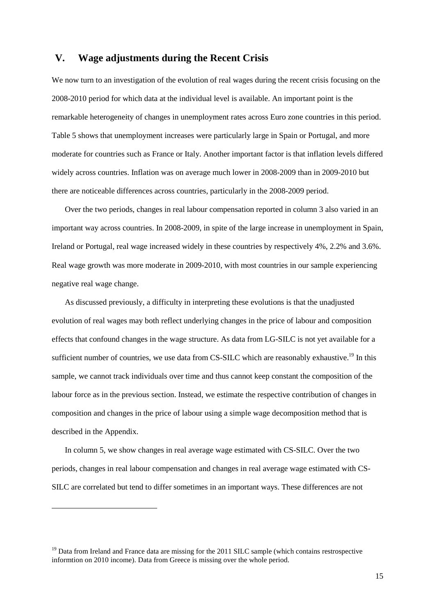### **V. Wage adjustments during the Recent Crisis**

We now turn to an investigation of the evolution of real wages during the recent crisis focusing on the 2008-2010 period for which data at the individual level is available. An important point is the remarkable heterogeneity of changes in unemployment rates across Euro zone countries in this period. Table 5 shows that unemployment increases were particularly large in Spain or Portugal, and more moderate for countries such as France or Italy. Another important factor is that inflation levels differed widely across countries. Inflation was on average much lower in 2008-2009 than in 2009-2010 but there are noticeable differences across countries, particularly in the 2008-2009 period.

Over the two periods, changes in real labour compensation reported in column 3 also varied in an important way across countries. In 2008-2009, in spite of the large increase in unemployment in Spain, Ireland or Portugal, real wage increased widely in these countries by respectively 4%, 2.2% and 3.6%. Real wage growth was more moderate in 2009-2010, with most countries in our sample experiencing negative real wage change.

As discussed previously, a difficulty in interpreting these evolutions is that the unadjusted evolution of real wages may both reflect underlying changes in the price of labour and composition effects that confound changes in the wage structure. As data from LG-SILC is not yet available for a sufficient number of countries, we use data from CS-SILC which are reasonably exhaustive.<sup>19</sup> In this sample, we cannot track individuals over time and thus cannot keep constant the composition of the labour force as in the previous section. Instead, we estimate the respective contribution of changes in composition and changes in the price of labour using a simple wage decomposition method that is described in the Appendix.

In column 5, we show changes in real average wage estimated with CS-SILC. Over the two periods, changes in real labour compensation and changes in real average wage estimated with CS-SILC are correlated but tend to differ sometimes in an important ways. These differences are not

<sup>&</sup>lt;sup>19</sup> Data from Ireland and France data are missing for the 2011 SILC sample (which contains restrospective informtion on 2010 income). Data from Greece is missing over the whole period.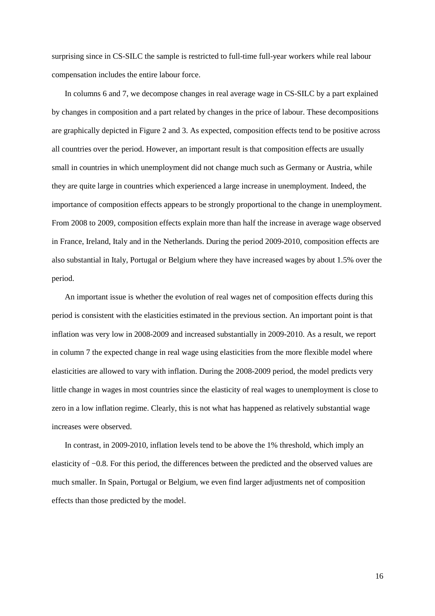surprising since in CS-SILC the sample is restricted to full-time full-year workers while real labour compensation includes the entire labour force.

In columns 6 and 7, we decompose changes in real average wage in CS-SILC by a part explained by changes in composition and a part related by changes in the price of labour. These decompositions are graphically depicted in Figure 2 and 3. As expected, composition effects tend to be positive across all countries over the period. However, an important result is that composition effects are usually small in countries in which unemployment did not change much such as Germany or Austria, while they are quite large in countries which experienced a large increase in unemployment. Indeed, the importance of composition effects appears to be strongly proportional to the change in unemployment. From 2008 to 2009, composition effects explain more than half the increase in average wage observed in France, Ireland, Italy and in the Netherlands. During the period 2009-2010, composition effects are also substantial in Italy, Portugal or Belgium where they have increased wages by about 1.5% over the period.

An important issue is whether the evolution of real wages net of composition effects during this period is consistent with the elasticities estimated in the previous section. An important point is that inflation was very low in 2008-2009 and increased substantially in 2009-2010. As a result, we report in column 7 the expected change in real wage using elasticities from the more flexible model where elasticities are allowed to vary with inflation. During the 2008-2009 period, the model predicts very little change in wages in most countries since the elasticity of real wages to unemployment is close to zero in a low inflation regime. Clearly, this is not what has happened as relatively substantial wage increases were observed.

In contrast, in 2009-2010, inflation levels tend to be above the 1% threshold, which imply an elasticity of −0.8. For this period, the differences between the predicted and the observed values are much smaller. In Spain, Portugal or Belgium, we even find larger adjustments net of composition effects than those predicted by the model.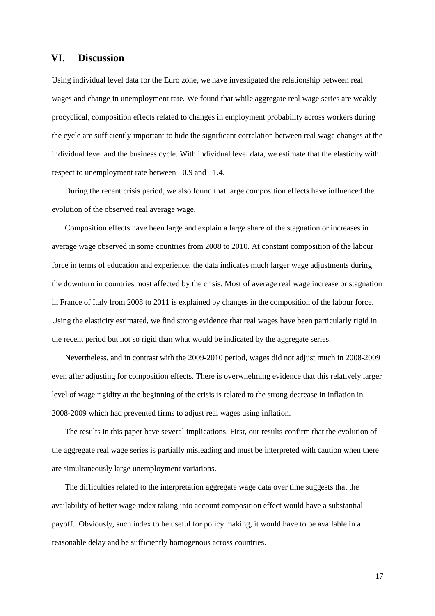## **VI. Discussion**

Using individual level data for the Euro zone, we have investigated the relationship between real wages and change in unemployment rate. We found that while aggregate real wage series are weakly procyclical, composition effects related to changes in employment probability across workers during the cycle are sufficiently important to hide the significant correlation between real wage changes at the individual level and the business cycle. With individual level data, we estimate that the elasticity with respect to unemployment rate between −0.9 and −1.4.

During the recent crisis period, we also found that large composition effects have influenced the evolution of the observed real average wage.

Composition effects have been large and explain a large share of the stagnation or increases in average wage observed in some countries from 2008 to 2010. At constant composition of the labour force in terms of education and experience, the data indicates much larger wage adjustments during the downturn in countries most affected by the crisis. Most of average real wage increase or stagnation in France of Italy from 2008 to 2011 is explained by changes in the composition of the labour force. Using the elasticity estimated, we find strong evidence that real wages have been particularly rigid in the recent period but not so rigid than what would be indicated by the aggregate series.

Nevertheless, and in contrast with the 2009-2010 period, wages did not adjust much in 2008-2009 even after adjusting for composition effects. There is overwhelming evidence that this relatively larger level of wage rigidity at the beginning of the crisis is related to the strong decrease in inflation in 2008-2009 which had prevented firms to adjust real wages using inflation.

The results in this paper have several implications. First, our results confirm that the evolution of the aggregate real wage series is partially misleading and must be interpreted with caution when there are simultaneously large unemployment variations.

The difficulties related to the interpretation aggregate wage data over time suggests that the availability of better wage index taking into account composition effect would have a substantial payoff. Obviously, such index to be useful for policy making, it would have to be available in a reasonable delay and be sufficiently homogenous across countries.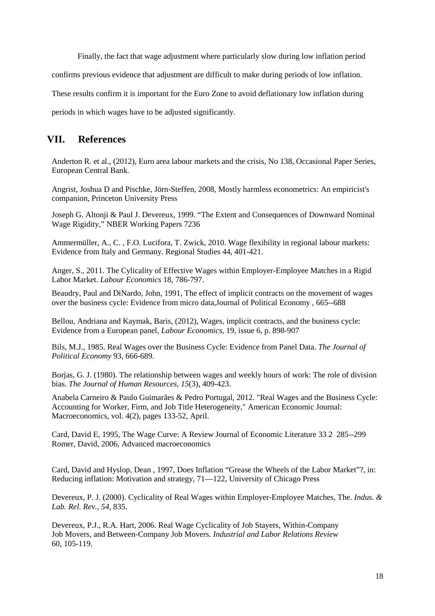Finally, the fact that wage adjustment where particularly slow during low inflation period

confirms previous evidence that adjustment are difficult to make during periods of low inflation.

These results confirm it is important for the Euro Zone to avoid deflationary low inflation during

periods in which wages have to be adjusted significantly.

# **VII. References**

Anderton R. et al., (2012), Euro area labour markets and the crisis, No 138, Occasional Paper Series, European Central Bank.

Angrist, Joshua D and Pischke, Jörn-Steffen, 2008, Mostly harmless econometrics: An empiricist's companion, Princeton University Press

Joseph G. Altonji & Paul J. Devereux, 1999. "The Extent and Consequences of Downward Nominal Wage Rigidity," NBER Working Papers 7236

Ammermüller, A., C. , F.O. Lucifora, T. Zwick, 2010. Wage flexibility in regional labour markets: Evidence from Italy and Germany. Regional Studies 44, 401-421.

Anger, S., 2011. The Cylicality of Effective Wages within Employer-Employee Matches in a Rigid Labor Market. *Labour Economics* 18, 786-797.

Beaudry, Paul and DiNardo, John, 1991, The effect of implicit contracts on the movement of wages over the business cycle: Evidence from micro data,Journal of Political Economy , 665--688

Bellou, Andriana and Kaymak, Baris, (2012), Wages, implicit contracts, and the business cycle: Evidence from a European panel, *Labour Economics*, 19, issue 6, p. 898-907

Bils, M.J., 1985. Real Wages over the Business Cycle: Evidence from Panel Data. *The Journal of Political Economy* 93, 666-689.

Borjas, G. J. (1980). The relationship between wages and weekly hours of work: The role of division bias. *The Journal of Human Resources*, *15*(3), 409-423.

Anabela Carneiro & Paulo Guimarães & Pedro Portugal, 2012. "Real Wages and the Business Cycle: Accounting for Worker, Firm, and Job Title Heterogeneity," American Economic Journal: Macroeconomics, vol. 4(2), pages 133-52, April.

Card, David E, 1995, The Wage Curve: A Review Journal of Economic Literature 33 2 285--299 Romer, David, 2006, Advanced macroeconomics

Card, David and Hyslop, Dean , 1997, Does Inflation "Grease the Wheels of the Labor Market"?, in: Reducing inflation: Motivation and strategy, 71—122, University of Chicago Press

Devereux, P. J. (2000). Cyclicality of Real Wages within Employer-Employee Matches, The. *Indus. & Lab. Rel. Rev.*, *54*, 835.

Devereux, P.J., R.A. Hart, 2006. Real Wage Cyclicality of Job Stayers, Within-Company Job Movers, and Between-Company Job Movers. *Industrial and Labor Relations Review* 60, 105-119.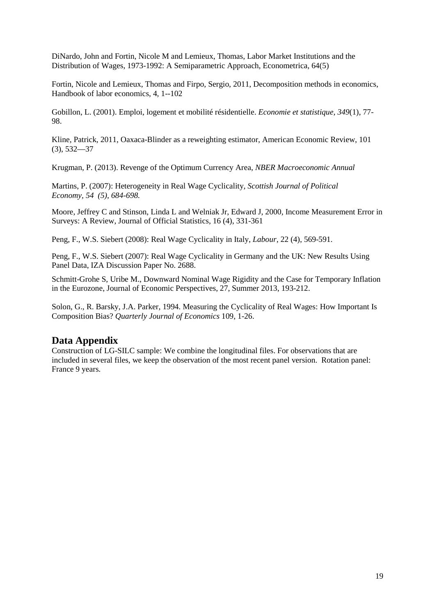DiNardo, John and Fortin, Nicole M and Lemieux, Thomas, Labor Market Institutions and the Distribution of Wages, 1973-1992: A Semiparametric Approach, Econometrica, 64(5)

Fortin, Nicole and Lemieux, Thomas and Firpo, Sergio, 2011, Decomposition methods in economics, Handbook of labor economics, 4, 1--102

Gobillon, L. (2001). Emploi, logement et mobilité résidentielle. *Economie et statistique*, *349*(1), 77- 98.

Kline, Patrick, 2011, Oaxaca-Blinder as a reweighting estimator, American Economic Review, 101 (3), 532—37

Krugman, P. (2013). Revenge of the Optimum Currency Area, *NBER Macroeconomic Annual* 

Martins, P. (2007): Heterogeneity in Real Wage Cyclicality, *Scottish Journal of Political Economy, 54 (5), 684-698.* 

Moore, Jeffrey C and Stinson, Linda L and Welniak Jr, Edward J, 2000, Income Measurement Error in Surveys: A Review, Journal of Official Statistics, 16 (4), 331-361

Peng, F., W.S. Siebert (2008): Real Wage Cyclicality in Italy, *Labour*, 22 (4), 569-591.

Peng, F., W.S. Siebert (2007): Real Wage Cyclicality in Germany and the UK: New Results Using Panel Data, IZA Discussion Paper No. 2688.

Schmitt-Grohe S, Uribe M., Downward Nominal Wage Rigidity and the Case for Temporary Inflation in the Eurozone, Journal of Economic Perspectives, 27, Summer 2013, 193-212.

Solon, G., R. Barsky, J.A. Parker, 1994. Measuring the Cyclicality of Real Wages: How Important Is Composition Bias? *Quarterly Journal of Economics* 109, 1-26.

# **Data Appendix**

Construction of LG-SILC sample: We combine the longitudinal files. For observations that are included in several files, we keep the observation of the most recent panel version. Rotation panel: France 9 years.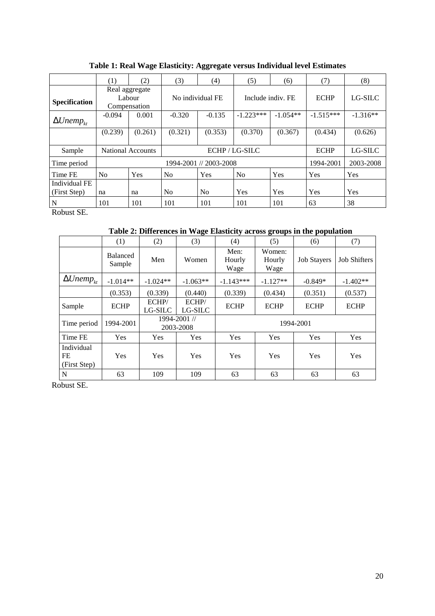|                                     | (1)                                      | (2)     | (3)              | (4)      | (5)               | (6)        | (7)         | (8)        |
|-------------------------------------|------------------------------------------|---------|------------------|----------|-------------------|------------|-------------|------------|
| <b>Specification</b>                | Real aggregate<br>Labour<br>Compensation |         | No individual FE |          | Include indiv. FE |            | <b>ECHP</b> | LG-SILC    |
| $\Delta Unemp_{kt}$                 | $-0.094$                                 | 0.001   | $-0.320$         | $-0.135$ | $-1.223***$       | $-1.054**$ | $-1.515***$ | $-1.316**$ |
|                                     | (0.239)                                  | (0.261) | (0.321)          | (0.353)  | (0.370)           | (0.367)    | (0.434)     | (0.626)    |
| Sample                              | ECHP/LG-SILC<br><b>National Accounts</b> |         |                  |          |                   |            | <b>ECHP</b> | LG-SILC    |
| Time period                         | 1994-2001 // 2003-2008                   |         |                  |          |                   |            | 1994-2001   | 2003-2008  |
| Time FE                             | No                                       | Yes     | N <sub>0</sub>   | Yes      | N <sub>0</sub>    | Yes        | Yes         | Yes        |
| Individual FE<br>(First Step)       | na                                       | na      | No               | No       | Yes               | Yes        | Yes         | Yes        |
| N<br>$\sim$ $\sim$<br>$\sim$ $\sim$ | 101                                      | 101     | 101              | 101      | 101               | 101        | 63          | 38         |

**Table 1: Real Wage Elasticity: Aggregate versus Individual level Estimates** 

Robust SE.

**Table 2: Differences in Wage Elasticity across groups in the population** 

|                                  | (1)                       | (2)                       | (3)              | (4)                    | (5)                      | (6)                | (7)                 |
|----------------------------------|---------------------------|---------------------------|------------------|------------------------|--------------------------|--------------------|---------------------|
|                                  | <b>Balanced</b><br>Sample | Men                       | Women            | Men:<br>Hourly<br>Wage | Women:<br>Hourly<br>Wage | <b>Job Stavers</b> | <b>Job Shifters</b> |
| $\Delta Unemp_{kt}$              | $-1.014**$                | $-1.024**$                | $-1.063**$       | $-1.143***$            | $-1.127**$               | $-0.849*$          | $-1.402**$          |
|                                  | (0.353)                   | (0.339)                   | (0.440)          | (0.339)                | (0.434)                  | (0.351)            | (0.537)             |
| Sample                           | <b>ECHP</b>               | ECHP/<br>LG-SILC          | ECHP/<br>LG-SILC | <b>ECHP</b>            | <b>ECHP</b>              | <b>ECHP</b>        | <b>ECHP</b>         |
| Time period                      | 1994-2001                 | 1994-2001 //<br>2003-2008 |                  | 1994-2001              |                          |                    |                     |
| Time FE                          | Yes                       | <b>Yes</b>                | Yes              | Yes                    | Yes                      | Yes                | Yes                 |
| Individual<br>FE<br>(First Step) | Yes                       | <b>Yes</b>                | Yes              | Yes                    | Yes                      | Yes                | Yes                 |
| N                                | 63                        | 109                       | 109              | 63                     | 63                       | 63                 | 63                  |

Robust SE.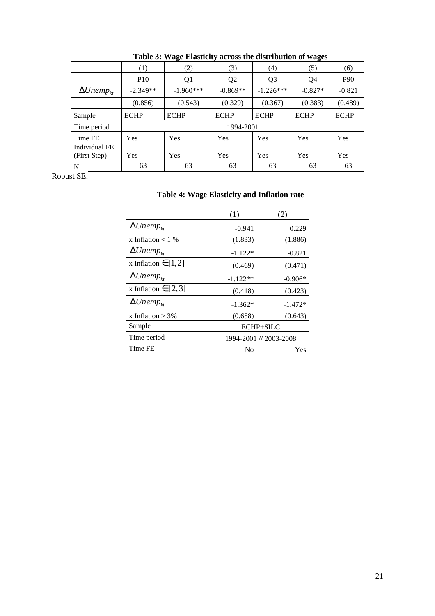|                     | (1)         | (2)         | (3)            | (4)            | (5)         | (6)         |
|---------------------|-------------|-------------|----------------|----------------|-------------|-------------|
|                     | <b>P10</b>  | Q1          | Q <sub>2</sub> | Q <sub>3</sub> | Q4          | <b>P90</b>  |
| $\Delta Unemp_{kt}$ | $-2.349**$  | $-1.960***$ | $-0.869**$     | $-1.226***$    | $-0.827*$   | $-0.821$    |
|                     | (0.856)     | (0.543)     | (0.329)        | (0.367)        | (0.383)     | (0.489)     |
| Sample              | <b>ECHP</b> | <b>ECHP</b> | <b>ECHP</b>    | <b>ECHP</b>    | <b>ECHP</b> | <b>ECHP</b> |
| Time period         | 1994-2001   |             |                |                |             |             |
| Time FE             | Yes         | Yes         | Yes            | Yes            | Yes         | Yes         |
| Individual FE       |             |             |                |                |             |             |
| (First Step)        | <b>Yes</b>  | Yes         | Yes            | Yes            | Yes         | Yes         |
| N                   | 63          | 63          | 63             | 63             | 63          | 63          |

**Table 3: Wage Elasticity across the distribution of wages** 

Robust SE.

|  | Table 4: Wage Elasticity and Inflation rate |  |  |
|--|---------------------------------------------|--|--|
|--|---------------------------------------------|--|--|

|                          | (1)        | (2)                    |  |  |
|--------------------------|------------|------------------------|--|--|
| $\Delta Unemp_{kt}$      | $-0.941$   | 0.229                  |  |  |
| x Inflation $< 1$ %      | (1.833)    | (1.886)                |  |  |
| $\Delta Unemp_{kt}$      | $-1.122*$  | $-0.821$               |  |  |
| x Inflation $\in$ [1, 2] | (0.469)    | (0.471)                |  |  |
| $\Delta Unemp_{kt}$      | $-1.122**$ | $-0.906*$              |  |  |
| x Inflation $\in$ [2,3]  | (0.418)    | (0.423)                |  |  |
| $\Delta Unemp_{kt}$      | $-1.362*$  | $-1.472*$              |  |  |
| x Inflation $> 3\%$      | (0.658)    | (0.643)                |  |  |
| Sample                   |            | ECHP+SILC              |  |  |
| Time period              |            | 1994-2001 // 2003-2008 |  |  |
| Time FE                  | No         | Yes                    |  |  |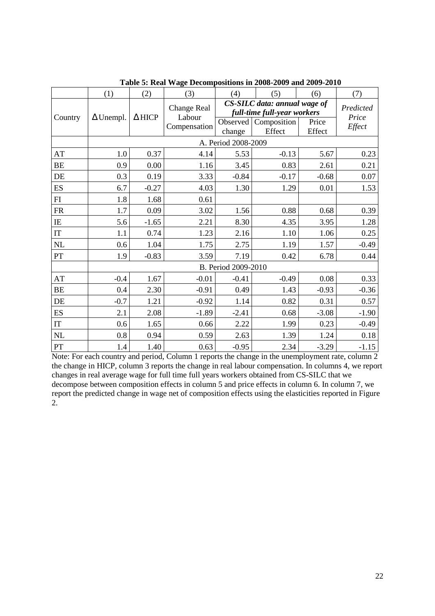|                        | (1)                 | (2)                 | (3)                                          | (4)                  | (5)                                                                                  | (6)             | (7)                          |  |  |
|------------------------|---------------------|---------------------|----------------------------------------------|----------------------|--------------------------------------------------------------------------------------|-----------------|------------------------------|--|--|
| Country                | $\Delta$ Unempl.    | $\Delta$ HICP       | <b>Change Real</b><br>Labour<br>Compensation | Observed  <br>change | CS-SILC data: annual wage of<br>full-time full-year workers<br>Composition<br>Effect | Price<br>Effect | Predicted<br>Price<br>Effect |  |  |
|                        |                     | A. Period 2008-2009 |                                              |                      |                                                                                      |                 |                              |  |  |
| AT                     | 1.0                 | 0.37                | 4.14                                         | 5.53                 | $-0.13$                                                                              | 5.67            | 0.23                         |  |  |
| ВE                     | 0.9                 | 0.00                | 1.16                                         | 3.45                 | 0.83                                                                                 | 2.61            | 0.21                         |  |  |
| DE                     | 0.3                 | 0.19                | 3.33                                         | $-0.84$              | $-0.17$                                                                              | $-0.68$         | 0.07                         |  |  |
| <b>ES</b>              | 6.7                 | $-0.27$             | 4.03                                         | 1.30                 | 1.29                                                                                 | 0.01            | 1.53                         |  |  |
| FI                     | 1.8                 | 1.68                | 0.61                                         |                      |                                                                                      |                 |                              |  |  |
| FR                     | 1.7                 | 0.09                | 3.02                                         | 1.56                 | 0.88                                                                                 | 0.68            | 0.39                         |  |  |
| IE                     | 5.6                 | $-1.65$             | 2.21                                         | 8.30                 | 4.35                                                                                 | 3.95            | 1.28                         |  |  |
| $\mathop{\mathrm{IT}}$ | 1.1                 | 0.74                | 1.23                                         | 2.16                 | 1.10                                                                                 | 1.06            | 0.25                         |  |  |
| NL                     | 0.6                 | 1.04                | 1.75                                         | 2.75                 | 1.19                                                                                 | 1.57            | $-0.49$                      |  |  |
| PT                     | 1.9                 | $-0.83$             | 3.59                                         | 7.19                 | 0.42                                                                                 | 6.78            | 0.44                         |  |  |
|                        | B. Period 2009-2010 |                     |                                              |                      |                                                                                      |                 |                              |  |  |
| AT                     | $-0.4$              | 1.67                | $-0.01$                                      | $-0.41$              | $-0.49$                                                                              | 0.08            | 0.33                         |  |  |
| BE                     | 0.4                 | 2.30                | $-0.91$                                      | 0.49                 | 1.43                                                                                 | $-0.93$         | $-0.36$                      |  |  |
| DE                     | $-0.7$              | 1.21                | $-0.92$                                      | 1.14                 | 0.82                                                                                 | 0.31            | 0.57                         |  |  |
| <b>ES</b>              | 2.1                 | 2.08                | $-1.89$                                      | $-2.41$              | 0.68                                                                                 | $-3.08$         | $-1.90$                      |  |  |
| $\mathop{\text{IT}}$   | 0.6                 | 1.65                | 0.66                                         | 2.22                 | 1.99                                                                                 | 0.23            | $-0.49$                      |  |  |
| NL                     | 0.8                 | 0.94                | 0.59                                         | 2.63                 | 1.39                                                                                 | 1.24            | 0.18                         |  |  |
| ${\cal PT}$            | 1.4                 | 1.40                | 0.63                                         | $-0.95$              | 2.34                                                                                 | $-3.29$         | $-1.15$                      |  |  |

**Table 5: Real Wage Decompositions in 2008-2009 and 2009-2010** 

Note: For each country and period, Column 1 reports the change in the unemployment rate, column 2 the change in HICP, column 3 reports the change in real labour compensation. In columns 4, we report changes in real average wage for full time full years workers obtained from CS-SILC that we decompose between composition effects in column 5 and price effects in column 6. In column 7, we report the predicted change in wage net of composition effects using the elasticities reported in Figure 2.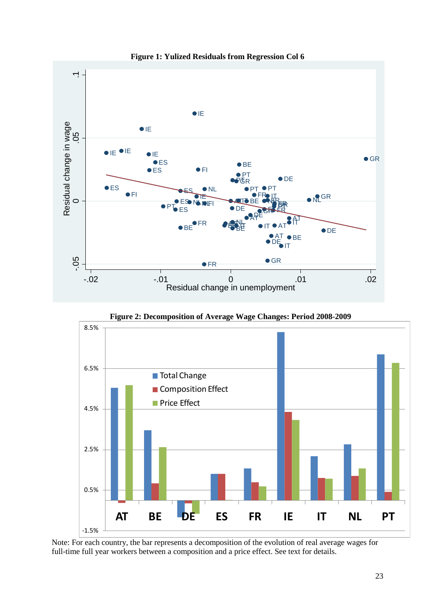

**Figure 1: Yulized Residuals from Regression Col 6**

**Figure 2: Decomposition of Average Wage Changes: Period 2008-2009** 



Note: For each country, the bar represents a decomposition of the evolution of real average wages for full-time full year workers between a composition and a price effect. See text for details.